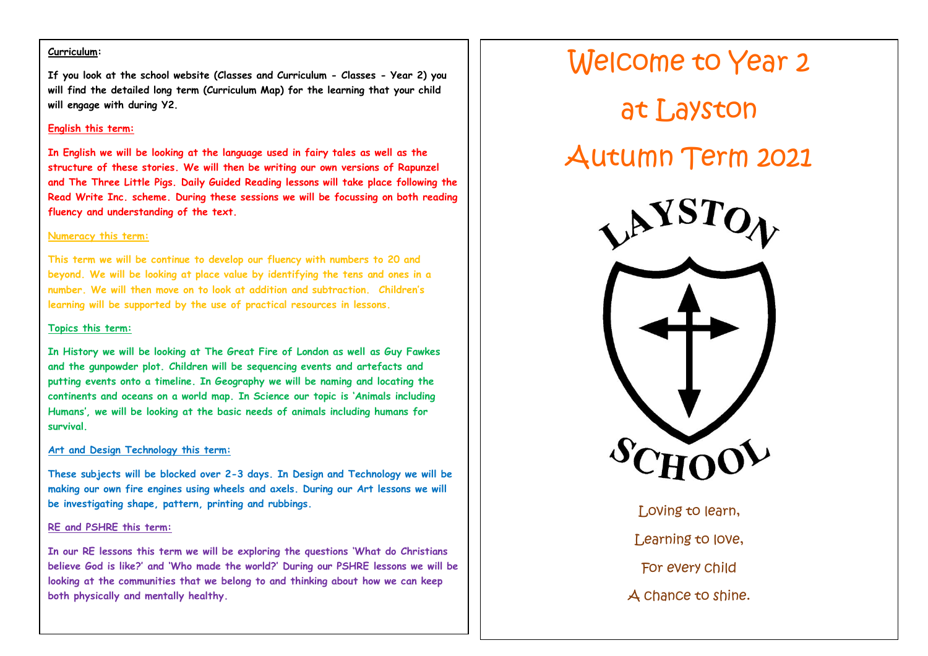### **Curriculum:**

**If you look at the school website (Classes and Curriculum - Classes - Year 2) you will find the detailed long term (Curriculum Map) for the learning that your child will engage with during Y2.**

#### **English this term:**

**In English we will be looking at the language used in fairy tales as well as the structure of these stories. We will then be writing our own versions of Rapunzel and The Three Little Pigs. Daily Guided Reading lessons will take place following the Read Write Inc. scheme. During these sessions we will be focussing on both reading fluency and understanding of the text.** 

#### **Numeracy this term:**

**This term we will be continue to develop our fluency with numbers to 20 and beyond. We will be looking at place value by identifying the tens and ones in a number. We will then move on to look at addition and subtraction. Children's learning will be supported by the use of practical resources in lessons.** 

#### **Topics this term:**

**In History we will be looking at The Great Fire of London as well as Guy Fawkes and the gunpowder plot. Children will be sequencing events and artefacts and putting events onto a timeline. In Geography we will be naming and locating the continents and oceans on a world map. In Science our topic is 'Animals including Humans', we will be looking at the basic needs of animals including humans for survival.** 

### **Art and Design Technology this term:**

**These subjects will be blocked over 2-3 days. In Design and Technology we will be making our own fire engines using wheels and axels. During our Art lessons we will be investigating shape, pattern, printing and rubbings.**

#### **RE and PSHRE this term:**

**In our RE lessons this term we will be exploring the questions 'What do Christians believe God is like?' and 'Who made the world?' During our PSHRE lessons we will be looking at the communities that we belong to and thinking about how we can keep both physically and mentally healthy.** 



Loving to learn, Learning to love, For every child A chance to shine.